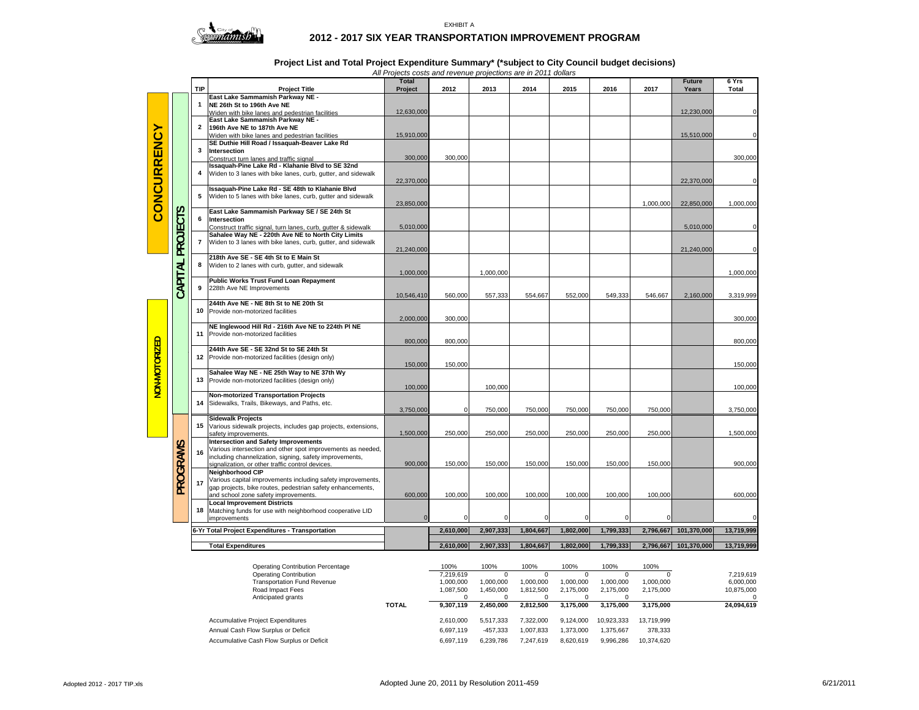

## **2012 - 2017 SIX YEAR TRANSPORTATION IMPROVEMENT PROGRAM**

## **Project List and Total Project Expenditure Summary\* (\*subject to City Council budget decisions)**

*All Projects costs and revenue projections are in 2011 dollars*

| East Lake Sammamish Parkway NE -<br>NE 26th St to 196th Ave NE<br>1<br>12,630,000<br>12,230,000<br>Widen with bike lanes and pedestrian facilities<br>East Lake Sammamish Parkway NE -<br>2<br><b>CONCURRENCY</b><br>196th Ave NE to 187th Ave NE<br>15,910,000<br>15,510,000<br>Widen with bike lanes and pedestrian facilities<br>SE Duthie Hill Road / Issaquah-Beaver Lake Rd<br>3<br>Intersection<br>300,000<br>300,000<br>300,000<br>Construct turn lanes and traffic signal<br>Issaquah-Pine Lake Rd - Klahanie Blvd to SE 32nd<br>Widen to 3 lanes with bike lanes, curb, gutter, and sidewalk<br>4<br>22,370,000<br>22,370,000<br>Issaquah-Pine Lake Rd - SE 48th to Klahanie Blvd<br>5<br>Widen to 5 lanes with bike lanes, curb, gutter and sidewalk<br>1,000,000<br>23,850,000<br>1,000,000<br>22,850,000<br><b>PROJECTS</b><br>East Lake Sammamish Parkway SE / SE 24th St<br>6<br>Intersection<br>5,010,000<br>5,010,000<br>Construct traffic signal, turn lanes, curb, gutter & sidewalk<br>Sahalee Way NE - 220th Ave NE to North City Limits<br>Widen to 3 lanes with bike lanes, curb, gutter, and sidewalk<br>$\overline{7}$<br>21,240,000<br>21,240,000<br>218th Ave SE - SE 4th St to E Main St<br>CAPITAL<br>8<br>Widen to 2 lanes with curb, gutter, and sidewalk<br>1,000,000<br>1,000,000<br>1,000,000<br>Public Works Trust Fund Loan Repayment<br>228th Ave NE Improvements<br>9<br>10,546,410<br>560,000<br>557,333<br>554,667<br>552,000<br>549,333<br>546,667<br>2,160,000<br>3,319,999<br>244th Ave NE - NE 8th St to NE 20th St<br>10 Provide non-motorized facilities<br>2,000,000<br>300,000<br>300,000<br>NE Inglewood Hill Rd - 216th Ave NE to 224th PI NE<br>11 Provide non-motorized facilities<br>NON-MOTORIZED<br>800,000<br>800.000<br>800,000<br>244th Ave SE - SE 32nd St to SE 24th St<br>12 Provide non-motorized facilities (design only)<br>150,000<br>150,000<br>150,000<br>Sahalee Way NE - NE 25th Way to NE 37th Wy<br>13<br>Provide non-motorized facilities (design only)<br>100,000<br>100,000<br>100,000<br><b>Non-motorized Transportation Projects</b><br>Sidewalks, Trails, Bikeways, and Paths, etc.<br>14<br>3,750,000<br>$\mathbf 0$<br>750,000<br>750,000<br>750,000<br>750,000<br>750,000<br>3,750,000<br><b>Sidewalk Projects</b><br>Various sidewalk projects, includes gap projects, extensions,<br>15<br>1,500,000<br>250,000<br>250,000<br>250,000<br>250,000<br>250,000<br>250,000<br>1,500,000<br>safety improvements<br><b>Intersection and Safety Improvements</b><br>PROGRAMS<br>Various intersection and other spot improvements as needed,<br>16<br>including channelization, signing, safety improvements,<br>900,000<br>signalization, or other traffic control devices.<br>150,000<br>150,000<br>150,000<br>150,000<br>150,000<br>150,000<br>900,000<br>Neighborhood CIP<br>Various capital improvements including safety improvements,<br>17<br>gap projects, bike routes, pedestrian safety enhancements,<br>and school zone safety improvements.<br>600,000<br>600,000<br>100,000<br>100,000<br>100,000<br>100,000<br>100,000<br>100,000<br><b>Local Improvement Districts</b><br>18 Matching funds for use with neighborhood cooperative LID<br>$\mathbf 0$<br>$\mathbf 0$<br>$\mathbf 0$<br>$\Omega$<br>improvements<br>$\Omega$<br>$\Omega$<br>6-Yr Total Project Expenditures - Transportation<br>2,610,000<br>2,907,333<br>1,804,667<br>1,802,000<br>1,799,333<br>2,796,667<br>101,370,000<br>13,719,999<br>2,796,667 101,370,000<br>13,719,999<br><b>Total Expenditures</b><br>2,610,000<br>2,907,333<br>1,804,667<br>1,802,000<br>1,799,333 |  |  | <b>TIP</b> | <b>Project Title</b> | <b>Total</b><br>Project | 2012 | 2013 | 2014 | 2015 | 2016 | 2017 | <b>Future</b><br>Years | 6 Yrs<br>Total |
|--------------------------------------------------------------------------------------------------------------------------------------------------------------------------------------------------------------------------------------------------------------------------------------------------------------------------------------------------------------------------------------------------------------------------------------------------------------------------------------------------------------------------------------------------------------------------------------------------------------------------------------------------------------------------------------------------------------------------------------------------------------------------------------------------------------------------------------------------------------------------------------------------------------------------------------------------------------------------------------------------------------------------------------------------------------------------------------------------------------------------------------------------------------------------------------------------------------------------------------------------------------------------------------------------------------------------------------------------------------------------------------------------------------------------------------------------------------------------------------------------------------------------------------------------------------------------------------------------------------------------------------------------------------------------------------------------------------------------------------------------------------------------------------------------------------------------------------------------------------------------------------------------------------------------------------------------------------------------------------------------------------------------------------------------------------------------------------------------------------------------------------------------------------------------------------------------------------------------------------------------------------------------------------------------------------------------------------------------------------------------------------------------------------------------------------------------------------------------------------------------------------------------------------------------------------------------------------------------------------------------------------------------------------------------------------------------------------------------------------------------------------------------------------------------------------------------------------------------------------------------------------------------------------------------------------------------------------------------------------------------------------------------------------------------------------------------------------------------------------------------------------------------------------------------------------------------------------------------------------------------------------------------------------------------------------------------------------------------------------------------------------------------------------------------------------------------------------------------------------------------------------------------------------------------------------------------------------------------------------------------------------|--|--|------------|----------------------|-------------------------|------|------|------|------|------|------|------------------------|----------------|
|                                                                                                                                                                                                                                                                                                                                                                                                                                                                                                                                                                                                                                                                                                                                                                                                                                                                                                                                                                                                                                                                                                                                                                                                                                                                                                                                                                                                                                                                                                                                                                                                                                                                                                                                                                                                                                                                                                                                                                                                                                                                                                                                                                                                                                                                                                                                                                                                                                                                                                                                                                                                                                                                                                                                                                                                                                                                                                                                                                                                                                                                                                                                                                                                                                                                                                                                                                                                                                                                                                                                                                                                                                      |  |  |            |                      |                         |      |      |      |      |      |      |                        |                |
|                                                                                                                                                                                                                                                                                                                                                                                                                                                                                                                                                                                                                                                                                                                                                                                                                                                                                                                                                                                                                                                                                                                                                                                                                                                                                                                                                                                                                                                                                                                                                                                                                                                                                                                                                                                                                                                                                                                                                                                                                                                                                                                                                                                                                                                                                                                                                                                                                                                                                                                                                                                                                                                                                                                                                                                                                                                                                                                                                                                                                                                                                                                                                                                                                                                                                                                                                                                                                                                                                                                                                                                                                                      |  |  |            |                      |                         |      |      |      |      |      |      |                        |                |
|                                                                                                                                                                                                                                                                                                                                                                                                                                                                                                                                                                                                                                                                                                                                                                                                                                                                                                                                                                                                                                                                                                                                                                                                                                                                                                                                                                                                                                                                                                                                                                                                                                                                                                                                                                                                                                                                                                                                                                                                                                                                                                                                                                                                                                                                                                                                                                                                                                                                                                                                                                                                                                                                                                                                                                                                                                                                                                                                                                                                                                                                                                                                                                                                                                                                                                                                                                                                                                                                                                                                                                                                                                      |  |  |            |                      |                         |      |      |      |      |      |      |                        |                |
|                                                                                                                                                                                                                                                                                                                                                                                                                                                                                                                                                                                                                                                                                                                                                                                                                                                                                                                                                                                                                                                                                                                                                                                                                                                                                                                                                                                                                                                                                                                                                                                                                                                                                                                                                                                                                                                                                                                                                                                                                                                                                                                                                                                                                                                                                                                                                                                                                                                                                                                                                                                                                                                                                                                                                                                                                                                                                                                                                                                                                                                                                                                                                                                                                                                                                                                                                                                                                                                                                                                                                                                                                                      |  |  |            |                      |                         |      |      |      |      |      |      |                        |                |
|                                                                                                                                                                                                                                                                                                                                                                                                                                                                                                                                                                                                                                                                                                                                                                                                                                                                                                                                                                                                                                                                                                                                                                                                                                                                                                                                                                                                                                                                                                                                                                                                                                                                                                                                                                                                                                                                                                                                                                                                                                                                                                                                                                                                                                                                                                                                                                                                                                                                                                                                                                                                                                                                                                                                                                                                                                                                                                                                                                                                                                                                                                                                                                                                                                                                                                                                                                                                                                                                                                                                                                                                                                      |  |  |            |                      |                         |      |      |      |      |      |      |                        |                |
|                                                                                                                                                                                                                                                                                                                                                                                                                                                                                                                                                                                                                                                                                                                                                                                                                                                                                                                                                                                                                                                                                                                                                                                                                                                                                                                                                                                                                                                                                                                                                                                                                                                                                                                                                                                                                                                                                                                                                                                                                                                                                                                                                                                                                                                                                                                                                                                                                                                                                                                                                                                                                                                                                                                                                                                                                                                                                                                                                                                                                                                                                                                                                                                                                                                                                                                                                                                                                                                                                                                                                                                                                                      |  |  |            |                      |                         |      |      |      |      |      |      |                        |                |
|                                                                                                                                                                                                                                                                                                                                                                                                                                                                                                                                                                                                                                                                                                                                                                                                                                                                                                                                                                                                                                                                                                                                                                                                                                                                                                                                                                                                                                                                                                                                                                                                                                                                                                                                                                                                                                                                                                                                                                                                                                                                                                                                                                                                                                                                                                                                                                                                                                                                                                                                                                                                                                                                                                                                                                                                                                                                                                                                                                                                                                                                                                                                                                                                                                                                                                                                                                                                                                                                                                                                                                                                                                      |  |  |            |                      |                         |      |      |      |      |      |      |                        |                |
|                                                                                                                                                                                                                                                                                                                                                                                                                                                                                                                                                                                                                                                                                                                                                                                                                                                                                                                                                                                                                                                                                                                                                                                                                                                                                                                                                                                                                                                                                                                                                                                                                                                                                                                                                                                                                                                                                                                                                                                                                                                                                                                                                                                                                                                                                                                                                                                                                                                                                                                                                                                                                                                                                                                                                                                                                                                                                                                                                                                                                                                                                                                                                                                                                                                                                                                                                                                                                                                                                                                                                                                                                                      |  |  |            |                      |                         |      |      |      |      |      |      |                        |                |
|                                                                                                                                                                                                                                                                                                                                                                                                                                                                                                                                                                                                                                                                                                                                                                                                                                                                                                                                                                                                                                                                                                                                                                                                                                                                                                                                                                                                                                                                                                                                                                                                                                                                                                                                                                                                                                                                                                                                                                                                                                                                                                                                                                                                                                                                                                                                                                                                                                                                                                                                                                                                                                                                                                                                                                                                                                                                                                                                                                                                                                                                                                                                                                                                                                                                                                                                                                                                                                                                                                                                                                                                                                      |  |  |            |                      |                         |      |      |      |      |      |      |                        |                |
|                                                                                                                                                                                                                                                                                                                                                                                                                                                                                                                                                                                                                                                                                                                                                                                                                                                                                                                                                                                                                                                                                                                                                                                                                                                                                                                                                                                                                                                                                                                                                                                                                                                                                                                                                                                                                                                                                                                                                                                                                                                                                                                                                                                                                                                                                                                                                                                                                                                                                                                                                                                                                                                                                                                                                                                                                                                                                                                                                                                                                                                                                                                                                                                                                                                                                                                                                                                                                                                                                                                                                                                                                                      |  |  |            |                      |                         |      |      |      |      |      |      |                        |                |
|                                                                                                                                                                                                                                                                                                                                                                                                                                                                                                                                                                                                                                                                                                                                                                                                                                                                                                                                                                                                                                                                                                                                                                                                                                                                                                                                                                                                                                                                                                                                                                                                                                                                                                                                                                                                                                                                                                                                                                                                                                                                                                                                                                                                                                                                                                                                                                                                                                                                                                                                                                                                                                                                                                                                                                                                                                                                                                                                                                                                                                                                                                                                                                                                                                                                                                                                                                                                                                                                                                                                                                                                                                      |  |  |            |                      |                         |      |      |      |      |      |      |                        |                |
|                                                                                                                                                                                                                                                                                                                                                                                                                                                                                                                                                                                                                                                                                                                                                                                                                                                                                                                                                                                                                                                                                                                                                                                                                                                                                                                                                                                                                                                                                                                                                                                                                                                                                                                                                                                                                                                                                                                                                                                                                                                                                                                                                                                                                                                                                                                                                                                                                                                                                                                                                                                                                                                                                                                                                                                                                                                                                                                                                                                                                                                                                                                                                                                                                                                                                                                                                                                                                                                                                                                                                                                                                                      |  |  |            |                      |                         |      |      |      |      |      |      |                        |                |
|                                                                                                                                                                                                                                                                                                                                                                                                                                                                                                                                                                                                                                                                                                                                                                                                                                                                                                                                                                                                                                                                                                                                                                                                                                                                                                                                                                                                                                                                                                                                                                                                                                                                                                                                                                                                                                                                                                                                                                                                                                                                                                                                                                                                                                                                                                                                                                                                                                                                                                                                                                                                                                                                                                                                                                                                                                                                                                                                                                                                                                                                                                                                                                                                                                                                                                                                                                                                                                                                                                                                                                                                                                      |  |  |            |                      |                         |      |      |      |      |      |      |                        |                |
|                                                                                                                                                                                                                                                                                                                                                                                                                                                                                                                                                                                                                                                                                                                                                                                                                                                                                                                                                                                                                                                                                                                                                                                                                                                                                                                                                                                                                                                                                                                                                                                                                                                                                                                                                                                                                                                                                                                                                                                                                                                                                                                                                                                                                                                                                                                                                                                                                                                                                                                                                                                                                                                                                                                                                                                                                                                                                                                                                                                                                                                                                                                                                                                                                                                                                                                                                                                                                                                                                                                                                                                                                                      |  |  |            |                      |                         |      |      |      |      |      |      |                        |                |
|                                                                                                                                                                                                                                                                                                                                                                                                                                                                                                                                                                                                                                                                                                                                                                                                                                                                                                                                                                                                                                                                                                                                                                                                                                                                                                                                                                                                                                                                                                                                                                                                                                                                                                                                                                                                                                                                                                                                                                                                                                                                                                                                                                                                                                                                                                                                                                                                                                                                                                                                                                                                                                                                                                                                                                                                                                                                                                                                                                                                                                                                                                                                                                                                                                                                                                                                                                                                                                                                                                                                                                                                                                      |  |  |            |                      |                         |      |      |      |      |      |      |                        |                |
|                                                                                                                                                                                                                                                                                                                                                                                                                                                                                                                                                                                                                                                                                                                                                                                                                                                                                                                                                                                                                                                                                                                                                                                                                                                                                                                                                                                                                                                                                                                                                                                                                                                                                                                                                                                                                                                                                                                                                                                                                                                                                                                                                                                                                                                                                                                                                                                                                                                                                                                                                                                                                                                                                                                                                                                                                                                                                                                                                                                                                                                                                                                                                                                                                                                                                                                                                                                                                                                                                                                                                                                                                                      |  |  |            |                      |                         |      |      |      |      |      |      |                        |                |
|                                                                                                                                                                                                                                                                                                                                                                                                                                                                                                                                                                                                                                                                                                                                                                                                                                                                                                                                                                                                                                                                                                                                                                                                                                                                                                                                                                                                                                                                                                                                                                                                                                                                                                                                                                                                                                                                                                                                                                                                                                                                                                                                                                                                                                                                                                                                                                                                                                                                                                                                                                                                                                                                                                                                                                                                                                                                                                                                                                                                                                                                                                                                                                                                                                                                                                                                                                                                                                                                                                                                                                                                                                      |  |  |            |                      |                         |      |      |      |      |      |      |                        |                |
|                                                                                                                                                                                                                                                                                                                                                                                                                                                                                                                                                                                                                                                                                                                                                                                                                                                                                                                                                                                                                                                                                                                                                                                                                                                                                                                                                                                                                                                                                                                                                                                                                                                                                                                                                                                                                                                                                                                                                                                                                                                                                                                                                                                                                                                                                                                                                                                                                                                                                                                                                                                                                                                                                                                                                                                                                                                                                                                                                                                                                                                                                                                                                                                                                                                                                                                                                                                                                                                                                                                                                                                                                                      |  |  |            |                      |                         |      |      |      |      |      |      |                        |                |
|                                                                                                                                                                                                                                                                                                                                                                                                                                                                                                                                                                                                                                                                                                                                                                                                                                                                                                                                                                                                                                                                                                                                                                                                                                                                                                                                                                                                                                                                                                                                                                                                                                                                                                                                                                                                                                                                                                                                                                                                                                                                                                                                                                                                                                                                                                                                                                                                                                                                                                                                                                                                                                                                                                                                                                                                                                                                                                                                                                                                                                                                                                                                                                                                                                                                                                                                                                                                                                                                                                                                                                                                                                      |  |  |            |                      |                         |      |      |      |      |      |      |                        |                |
|                                                                                                                                                                                                                                                                                                                                                                                                                                                                                                                                                                                                                                                                                                                                                                                                                                                                                                                                                                                                                                                                                                                                                                                                                                                                                                                                                                                                                                                                                                                                                                                                                                                                                                                                                                                                                                                                                                                                                                                                                                                                                                                                                                                                                                                                                                                                                                                                                                                                                                                                                                                                                                                                                                                                                                                                                                                                                                                                                                                                                                                                                                                                                                                                                                                                                                                                                                                                                                                                                                                                                                                                                                      |  |  |            |                      |                         |      |      |      |      |      |      |                        |                |
|                                                                                                                                                                                                                                                                                                                                                                                                                                                                                                                                                                                                                                                                                                                                                                                                                                                                                                                                                                                                                                                                                                                                                                                                                                                                                                                                                                                                                                                                                                                                                                                                                                                                                                                                                                                                                                                                                                                                                                                                                                                                                                                                                                                                                                                                                                                                                                                                                                                                                                                                                                                                                                                                                                                                                                                                                                                                                                                                                                                                                                                                                                                                                                                                                                                                                                                                                                                                                                                                                                                                                                                                                                      |  |  |            |                      |                         |      |      |      |      |      |      |                        |                |
|                                                                                                                                                                                                                                                                                                                                                                                                                                                                                                                                                                                                                                                                                                                                                                                                                                                                                                                                                                                                                                                                                                                                                                                                                                                                                                                                                                                                                                                                                                                                                                                                                                                                                                                                                                                                                                                                                                                                                                                                                                                                                                                                                                                                                                                                                                                                                                                                                                                                                                                                                                                                                                                                                                                                                                                                                                                                                                                                                                                                                                                                                                                                                                                                                                                                                                                                                                                                                                                                                                                                                                                                                                      |  |  |            |                      |                         |      |      |      |      |      |      |                        |                |
|                                                                                                                                                                                                                                                                                                                                                                                                                                                                                                                                                                                                                                                                                                                                                                                                                                                                                                                                                                                                                                                                                                                                                                                                                                                                                                                                                                                                                                                                                                                                                                                                                                                                                                                                                                                                                                                                                                                                                                                                                                                                                                                                                                                                                                                                                                                                                                                                                                                                                                                                                                                                                                                                                                                                                                                                                                                                                                                                                                                                                                                                                                                                                                                                                                                                                                                                                                                                                                                                                                                                                                                                                                      |  |  |            |                      |                         |      |      |      |      |      |      |                        |                |
|                                                                                                                                                                                                                                                                                                                                                                                                                                                                                                                                                                                                                                                                                                                                                                                                                                                                                                                                                                                                                                                                                                                                                                                                                                                                                                                                                                                                                                                                                                                                                                                                                                                                                                                                                                                                                                                                                                                                                                                                                                                                                                                                                                                                                                                                                                                                                                                                                                                                                                                                                                                                                                                                                                                                                                                                                                                                                                                                                                                                                                                                                                                                                                                                                                                                                                                                                                                                                                                                                                                                                                                                                                      |  |  |            |                      |                         |      |      |      |      |      |      |                        |                |
|                                                                                                                                                                                                                                                                                                                                                                                                                                                                                                                                                                                                                                                                                                                                                                                                                                                                                                                                                                                                                                                                                                                                                                                                                                                                                                                                                                                                                                                                                                                                                                                                                                                                                                                                                                                                                                                                                                                                                                                                                                                                                                                                                                                                                                                                                                                                                                                                                                                                                                                                                                                                                                                                                                                                                                                                                                                                                                                                                                                                                                                                                                                                                                                                                                                                                                                                                                                                                                                                                                                                                                                                                                      |  |  |            |                      |                         |      |      |      |      |      |      |                        |                |
|                                                                                                                                                                                                                                                                                                                                                                                                                                                                                                                                                                                                                                                                                                                                                                                                                                                                                                                                                                                                                                                                                                                                                                                                                                                                                                                                                                                                                                                                                                                                                                                                                                                                                                                                                                                                                                                                                                                                                                                                                                                                                                                                                                                                                                                                                                                                                                                                                                                                                                                                                                                                                                                                                                                                                                                                                                                                                                                                                                                                                                                                                                                                                                                                                                                                                                                                                                                                                                                                                                                                                                                                                                      |  |  |            |                      |                         |      |      |      |      |      |      |                        |                |
|                                                                                                                                                                                                                                                                                                                                                                                                                                                                                                                                                                                                                                                                                                                                                                                                                                                                                                                                                                                                                                                                                                                                                                                                                                                                                                                                                                                                                                                                                                                                                                                                                                                                                                                                                                                                                                                                                                                                                                                                                                                                                                                                                                                                                                                                                                                                                                                                                                                                                                                                                                                                                                                                                                                                                                                                                                                                                                                                                                                                                                                                                                                                                                                                                                                                                                                                                                                                                                                                                                                                                                                                                                      |  |  |            |                      |                         |      |      |      |      |      |      |                        |                |
|                                                                                                                                                                                                                                                                                                                                                                                                                                                                                                                                                                                                                                                                                                                                                                                                                                                                                                                                                                                                                                                                                                                                                                                                                                                                                                                                                                                                                                                                                                                                                                                                                                                                                                                                                                                                                                                                                                                                                                                                                                                                                                                                                                                                                                                                                                                                                                                                                                                                                                                                                                                                                                                                                                                                                                                                                                                                                                                                                                                                                                                                                                                                                                                                                                                                                                                                                                                                                                                                                                                                                                                                                                      |  |  |            |                      |                         |      |      |      |      |      |      |                        |                |
|                                                                                                                                                                                                                                                                                                                                                                                                                                                                                                                                                                                                                                                                                                                                                                                                                                                                                                                                                                                                                                                                                                                                                                                                                                                                                                                                                                                                                                                                                                                                                                                                                                                                                                                                                                                                                                                                                                                                                                                                                                                                                                                                                                                                                                                                                                                                                                                                                                                                                                                                                                                                                                                                                                                                                                                                                                                                                                                                                                                                                                                                                                                                                                                                                                                                                                                                                                                                                                                                                                                                                                                                                                      |  |  |            |                      |                         |      |      |      |      |      |      |                        |                |
|                                                                                                                                                                                                                                                                                                                                                                                                                                                                                                                                                                                                                                                                                                                                                                                                                                                                                                                                                                                                                                                                                                                                                                                                                                                                                                                                                                                                                                                                                                                                                                                                                                                                                                                                                                                                                                                                                                                                                                                                                                                                                                                                                                                                                                                                                                                                                                                                                                                                                                                                                                                                                                                                                                                                                                                                                                                                                                                                                                                                                                                                                                                                                                                                                                                                                                                                                                                                                                                                                                                                                                                                                                      |  |  |            |                      |                         |      |      |      |      |      |      |                        |                |
|                                                                                                                                                                                                                                                                                                                                                                                                                                                                                                                                                                                                                                                                                                                                                                                                                                                                                                                                                                                                                                                                                                                                                                                                                                                                                                                                                                                                                                                                                                                                                                                                                                                                                                                                                                                                                                                                                                                                                                                                                                                                                                                                                                                                                                                                                                                                                                                                                                                                                                                                                                                                                                                                                                                                                                                                                                                                                                                                                                                                                                                                                                                                                                                                                                                                                                                                                                                                                                                                                                                                                                                                                                      |  |  |            |                      |                         |      |      |      |      |      |      |                        |                |
|                                                                                                                                                                                                                                                                                                                                                                                                                                                                                                                                                                                                                                                                                                                                                                                                                                                                                                                                                                                                                                                                                                                                                                                                                                                                                                                                                                                                                                                                                                                                                                                                                                                                                                                                                                                                                                                                                                                                                                                                                                                                                                                                                                                                                                                                                                                                                                                                                                                                                                                                                                                                                                                                                                                                                                                                                                                                                                                                                                                                                                                                                                                                                                                                                                                                                                                                                                                                                                                                                                                                                                                                                                      |  |  |            |                      |                         |      |      |      |      |      |      |                        |                |
|                                                                                                                                                                                                                                                                                                                                                                                                                                                                                                                                                                                                                                                                                                                                                                                                                                                                                                                                                                                                                                                                                                                                                                                                                                                                                                                                                                                                                                                                                                                                                                                                                                                                                                                                                                                                                                                                                                                                                                                                                                                                                                                                                                                                                                                                                                                                                                                                                                                                                                                                                                                                                                                                                                                                                                                                                                                                                                                                                                                                                                                                                                                                                                                                                                                                                                                                                                                                                                                                                                                                                                                                                                      |  |  |            |                      |                         |      |      |      |      |      |      |                        |                |
|                                                                                                                                                                                                                                                                                                                                                                                                                                                                                                                                                                                                                                                                                                                                                                                                                                                                                                                                                                                                                                                                                                                                                                                                                                                                                                                                                                                                                                                                                                                                                                                                                                                                                                                                                                                                                                                                                                                                                                                                                                                                                                                                                                                                                                                                                                                                                                                                                                                                                                                                                                                                                                                                                                                                                                                                                                                                                                                                                                                                                                                                                                                                                                                                                                                                                                                                                                                                                                                                                                                                                                                                                                      |  |  |            |                      |                         |      |      |      |      |      |      |                        |                |
|                                                                                                                                                                                                                                                                                                                                                                                                                                                                                                                                                                                                                                                                                                                                                                                                                                                                                                                                                                                                                                                                                                                                                                                                                                                                                                                                                                                                                                                                                                                                                                                                                                                                                                                                                                                                                                                                                                                                                                                                                                                                                                                                                                                                                                                                                                                                                                                                                                                                                                                                                                                                                                                                                                                                                                                                                                                                                                                                                                                                                                                                                                                                                                                                                                                                                                                                                                                                                                                                                                                                                                                                                                      |  |  |            |                      |                         |      |      |      |      |      |      |                        |                |
|                                                                                                                                                                                                                                                                                                                                                                                                                                                                                                                                                                                                                                                                                                                                                                                                                                                                                                                                                                                                                                                                                                                                                                                                                                                                                                                                                                                                                                                                                                                                                                                                                                                                                                                                                                                                                                                                                                                                                                                                                                                                                                                                                                                                                                                                                                                                                                                                                                                                                                                                                                                                                                                                                                                                                                                                                                                                                                                                                                                                                                                                                                                                                                                                                                                                                                                                                                                                                                                                                                                                                                                                                                      |  |  |            |                      |                         |      |      |      |      |      |      |                        |                |
|                                                                                                                                                                                                                                                                                                                                                                                                                                                                                                                                                                                                                                                                                                                                                                                                                                                                                                                                                                                                                                                                                                                                                                                                                                                                                                                                                                                                                                                                                                                                                                                                                                                                                                                                                                                                                                                                                                                                                                                                                                                                                                                                                                                                                                                                                                                                                                                                                                                                                                                                                                                                                                                                                                                                                                                                                                                                                                                                                                                                                                                                                                                                                                                                                                                                                                                                                                                                                                                                                                                                                                                                                                      |  |  |            |                      |                         |      |      |      |      |      |      |                        |                |
|                                                                                                                                                                                                                                                                                                                                                                                                                                                                                                                                                                                                                                                                                                                                                                                                                                                                                                                                                                                                                                                                                                                                                                                                                                                                                                                                                                                                                                                                                                                                                                                                                                                                                                                                                                                                                                                                                                                                                                                                                                                                                                                                                                                                                                                                                                                                                                                                                                                                                                                                                                                                                                                                                                                                                                                                                                                                                                                                                                                                                                                                                                                                                                                                                                                                                                                                                                                                                                                                                                                                                                                                                                      |  |  |            |                      |                         |      |      |      |      |      |      |                        |                |
|                                                                                                                                                                                                                                                                                                                                                                                                                                                                                                                                                                                                                                                                                                                                                                                                                                                                                                                                                                                                                                                                                                                                                                                                                                                                                                                                                                                                                                                                                                                                                                                                                                                                                                                                                                                                                                                                                                                                                                                                                                                                                                                                                                                                                                                                                                                                                                                                                                                                                                                                                                                                                                                                                                                                                                                                                                                                                                                                                                                                                                                                                                                                                                                                                                                                                                                                                                                                                                                                                                                                                                                                                                      |  |  |            |                      |                         |      |      |      |      |      |      |                        |                |
|                                                                                                                                                                                                                                                                                                                                                                                                                                                                                                                                                                                                                                                                                                                                                                                                                                                                                                                                                                                                                                                                                                                                                                                                                                                                                                                                                                                                                                                                                                                                                                                                                                                                                                                                                                                                                                                                                                                                                                                                                                                                                                                                                                                                                                                                                                                                                                                                                                                                                                                                                                                                                                                                                                                                                                                                                                                                                                                                                                                                                                                                                                                                                                                                                                                                                                                                                                                                                                                                                                                                                                                                                                      |  |  |            |                      |                         |      |      |      |      |      |      |                        |                |
|                                                                                                                                                                                                                                                                                                                                                                                                                                                                                                                                                                                                                                                                                                                                                                                                                                                                                                                                                                                                                                                                                                                                                                                                                                                                                                                                                                                                                                                                                                                                                                                                                                                                                                                                                                                                                                                                                                                                                                                                                                                                                                                                                                                                                                                                                                                                                                                                                                                                                                                                                                                                                                                                                                                                                                                                                                                                                                                                                                                                                                                                                                                                                                                                                                                                                                                                                                                                                                                                                                                                                                                                                                      |  |  |            |                      |                         |      |      |      |      |      |      |                        |                |
|                                                                                                                                                                                                                                                                                                                                                                                                                                                                                                                                                                                                                                                                                                                                                                                                                                                                                                                                                                                                                                                                                                                                                                                                                                                                                                                                                                                                                                                                                                                                                                                                                                                                                                                                                                                                                                                                                                                                                                                                                                                                                                                                                                                                                                                                                                                                                                                                                                                                                                                                                                                                                                                                                                                                                                                                                                                                                                                                                                                                                                                                                                                                                                                                                                                                                                                                                                                                                                                                                                                                                                                                                                      |  |  |            |                      |                         |      |      |      |      |      |      |                        |                |
|                                                                                                                                                                                                                                                                                                                                                                                                                                                                                                                                                                                                                                                                                                                                                                                                                                                                                                                                                                                                                                                                                                                                                                                                                                                                                                                                                                                                                                                                                                                                                                                                                                                                                                                                                                                                                                                                                                                                                                                                                                                                                                                                                                                                                                                                                                                                                                                                                                                                                                                                                                                                                                                                                                                                                                                                                                                                                                                                                                                                                                                                                                                                                                                                                                                                                                                                                                                                                                                                                                                                                                                                                                      |  |  |            |                      |                         |      |      |      |      |      |      |                        |                |
|                                                                                                                                                                                                                                                                                                                                                                                                                                                                                                                                                                                                                                                                                                                                                                                                                                                                                                                                                                                                                                                                                                                                                                                                                                                                                                                                                                                                                                                                                                                                                                                                                                                                                                                                                                                                                                                                                                                                                                                                                                                                                                                                                                                                                                                                                                                                                                                                                                                                                                                                                                                                                                                                                                                                                                                                                                                                                                                                                                                                                                                                                                                                                                                                                                                                                                                                                                                                                                                                                                                                                                                                                                      |  |  |            |                      |                         |      |      |      |      |      |      |                        |                |
|                                                                                                                                                                                                                                                                                                                                                                                                                                                                                                                                                                                                                                                                                                                                                                                                                                                                                                                                                                                                                                                                                                                                                                                                                                                                                                                                                                                                                                                                                                                                                                                                                                                                                                                                                                                                                                                                                                                                                                                                                                                                                                                                                                                                                                                                                                                                                                                                                                                                                                                                                                                                                                                                                                                                                                                                                                                                                                                                                                                                                                                                                                                                                                                                                                                                                                                                                                                                                                                                                                                                                                                                                                      |  |  |            |                      |                         |      |      |      |      |      |      |                        |                |
|                                                                                                                                                                                                                                                                                                                                                                                                                                                                                                                                                                                                                                                                                                                                                                                                                                                                                                                                                                                                                                                                                                                                                                                                                                                                                                                                                                                                                                                                                                                                                                                                                                                                                                                                                                                                                                                                                                                                                                                                                                                                                                                                                                                                                                                                                                                                                                                                                                                                                                                                                                                                                                                                                                                                                                                                                                                                                                                                                                                                                                                                                                                                                                                                                                                                                                                                                                                                                                                                                                                                                                                                                                      |  |  |            |                      |                         |      |      |      |      |      |      |                        |                |
|                                                                                                                                                                                                                                                                                                                                                                                                                                                                                                                                                                                                                                                                                                                                                                                                                                                                                                                                                                                                                                                                                                                                                                                                                                                                                                                                                                                                                                                                                                                                                                                                                                                                                                                                                                                                                                                                                                                                                                                                                                                                                                                                                                                                                                                                                                                                                                                                                                                                                                                                                                                                                                                                                                                                                                                                                                                                                                                                                                                                                                                                                                                                                                                                                                                                                                                                                                                                                                                                                                                                                                                                                                      |  |  |            |                      |                         |      |      |      |      |      |      |                        |                |
|                                                                                                                                                                                                                                                                                                                                                                                                                                                                                                                                                                                                                                                                                                                                                                                                                                                                                                                                                                                                                                                                                                                                                                                                                                                                                                                                                                                                                                                                                                                                                                                                                                                                                                                                                                                                                                                                                                                                                                                                                                                                                                                                                                                                                                                                                                                                                                                                                                                                                                                                                                                                                                                                                                                                                                                                                                                                                                                                                                                                                                                                                                                                                                                                                                                                                                                                                                                                                                                                                                                                                                                                                                      |  |  |            |                      |                         |      |      |      |      |      |      |                        |                |
|                                                                                                                                                                                                                                                                                                                                                                                                                                                                                                                                                                                                                                                                                                                                                                                                                                                                                                                                                                                                                                                                                                                                                                                                                                                                                                                                                                                                                                                                                                                                                                                                                                                                                                                                                                                                                                                                                                                                                                                                                                                                                                                                                                                                                                                                                                                                                                                                                                                                                                                                                                                                                                                                                                                                                                                                                                                                                                                                                                                                                                                                                                                                                                                                                                                                                                                                                                                                                                                                                                                                                                                                                                      |  |  |            |                      |                         |      |      |      |      |      |      |                        |                |
|                                                                                                                                                                                                                                                                                                                                                                                                                                                                                                                                                                                                                                                                                                                                                                                                                                                                                                                                                                                                                                                                                                                                                                                                                                                                                                                                                                                                                                                                                                                                                                                                                                                                                                                                                                                                                                                                                                                                                                                                                                                                                                                                                                                                                                                                                                                                                                                                                                                                                                                                                                                                                                                                                                                                                                                                                                                                                                                                                                                                                                                                                                                                                                                                                                                                                                                                                                                                                                                                                                                                                                                                                                      |  |  |            |                      |                         |      |      |      |      |      |      |                        |                |
|                                                                                                                                                                                                                                                                                                                                                                                                                                                                                                                                                                                                                                                                                                                                                                                                                                                                                                                                                                                                                                                                                                                                                                                                                                                                                                                                                                                                                                                                                                                                                                                                                                                                                                                                                                                                                                                                                                                                                                                                                                                                                                                                                                                                                                                                                                                                                                                                                                                                                                                                                                                                                                                                                                                                                                                                                                                                                                                                                                                                                                                                                                                                                                                                                                                                                                                                                                                                                                                                                                                                                                                                                                      |  |  |            |                      |                         |      |      |      |      |      |      |                        |                |
|                                                                                                                                                                                                                                                                                                                                                                                                                                                                                                                                                                                                                                                                                                                                                                                                                                                                                                                                                                                                                                                                                                                                                                                                                                                                                                                                                                                                                                                                                                                                                                                                                                                                                                                                                                                                                                                                                                                                                                                                                                                                                                                                                                                                                                                                                                                                                                                                                                                                                                                                                                                                                                                                                                                                                                                                                                                                                                                                                                                                                                                                                                                                                                                                                                                                                                                                                                                                                                                                                                                                                                                                                                      |  |  |            |                      |                         |      |      |      |      |      |      |                        |                |
|                                                                                                                                                                                                                                                                                                                                                                                                                                                                                                                                                                                                                                                                                                                                                                                                                                                                                                                                                                                                                                                                                                                                                                                                                                                                                                                                                                                                                                                                                                                                                                                                                                                                                                                                                                                                                                                                                                                                                                                                                                                                                                                                                                                                                                                                                                                                                                                                                                                                                                                                                                                                                                                                                                                                                                                                                                                                                                                                                                                                                                                                                                                                                                                                                                                                                                                                                                                                                                                                                                                                                                                                                                      |  |  |            |                      |                         |      |      |      |      |      |      |                        |                |
|                                                                                                                                                                                                                                                                                                                                                                                                                                                                                                                                                                                                                                                                                                                                                                                                                                                                                                                                                                                                                                                                                                                                                                                                                                                                                                                                                                                                                                                                                                                                                                                                                                                                                                                                                                                                                                                                                                                                                                                                                                                                                                                                                                                                                                                                                                                                                                                                                                                                                                                                                                                                                                                                                                                                                                                                                                                                                                                                                                                                                                                                                                                                                                                                                                                                                                                                                                                                                                                                                                                                                                                                                                      |  |  |            |                      |                         |      |      |      |      |      |      |                        |                |
|                                                                                                                                                                                                                                                                                                                                                                                                                                                                                                                                                                                                                                                                                                                                                                                                                                                                                                                                                                                                                                                                                                                                                                                                                                                                                                                                                                                                                                                                                                                                                                                                                                                                                                                                                                                                                                                                                                                                                                                                                                                                                                                                                                                                                                                                                                                                                                                                                                                                                                                                                                                                                                                                                                                                                                                                                                                                                                                                                                                                                                                                                                                                                                                                                                                                                                                                                                                                                                                                                                                                                                                                                                      |  |  |            |                      |                         |      |      |      |      |      |      |                        |                |
|                                                                                                                                                                                                                                                                                                                                                                                                                                                                                                                                                                                                                                                                                                                                                                                                                                                                                                                                                                                                                                                                                                                                                                                                                                                                                                                                                                                                                                                                                                                                                                                                                                                                                                                                                                                                                                                                                                                                                                                                                                                                                                                                                                                                                                                                                                                                                                                                                                                                                                                                                                                                                                                                                                                                                                                                                                                                                                                                                                                                                                                                                                                                                                                                                                                                                                                                                                                                                                                                                                                                                                                                                                      |  |  |            |                      |                         |      |      |      |      |      |      |                        |                |

| <b>Operating Contribution Percentage</b>  |              | 100%       | 100%      | 100%      | 100%       | 100%       | 100%      |            |
|-------------------------------------------|--------------|------------|-----------|-----------|------------|------------|-----------|------------|
| <b>Operating Contribution</b>             |              | 7.219.619  | 0         |           |            |            |           | 7.219.619  |
| <b>Transportation Fund Revenue</b>        |              | 1.000.000  | 1.000.000 | 1.000.000 | 1.000.000  | 1.000.000  | 1.000.000 | 6,000,000  |
| Road Impact Fees                          |              | 1.087.500  | 1.450.000 | 1.812.500 | 2.175.000  | 2.175.000  | 2.175.000 | 10,875,000 |
| Anticipated grants                        |              |            |           |           |            |            |           |            |
|                                           | <b>TOTAL</b> | 9.307.119  | 2.450.000 | 2.812.500 | 3.175.000  | 3.175.000  | 3.175.000 | 24.094.619 |
| Accumulative Project Expenditures         | 2.610.000    | 5.517.333  | 7.322.000 | 9.124.000 | 10.923.333 | 13.719.999 |           |            |
| Annual Cash Flow Surplus or Deficit       | 6.697.119    | $-457.333$ | 1.007.833 | 1.373.000 | 1.375.667  | 378,333    |           |            |
| Accumulative Cash Flow Surplus or Deficit | 6.697.119    | 6.239.786  | 7.247.619 | 8.620.619 | 9.996.286  | 10.374.620 |           |            |
|                                           |              |            |           |           |            |            |           |            |